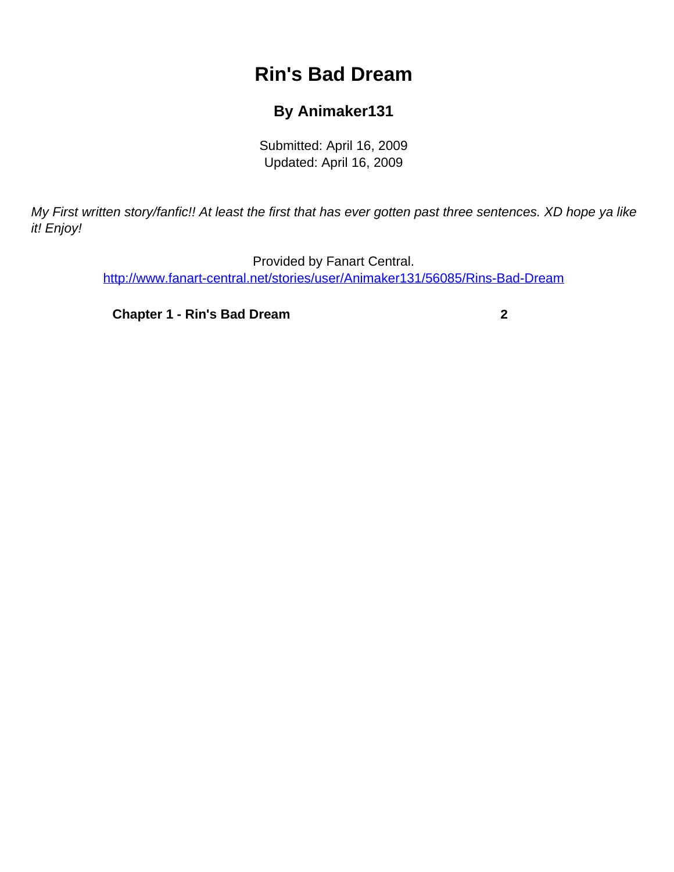# **Rin's Bad Dream**

### **By Animaker131**

Submitted: April 16, 2009 Updated: April 16, 2009

<span id="page-0-0"></span>My First written story/fanfic!! At least the first that has ever gotten past three sentences. XD hope ya like it! Enjoy!

> Provided by Fanart Central. [http://www.fanart-central.net/stories/user/Animaker131/56085/Rins-Bad-Dream](#page-0-0)

**[Chapter 1 - Rin's Bad Dream](#page-1-0) [2](#page-1-0)**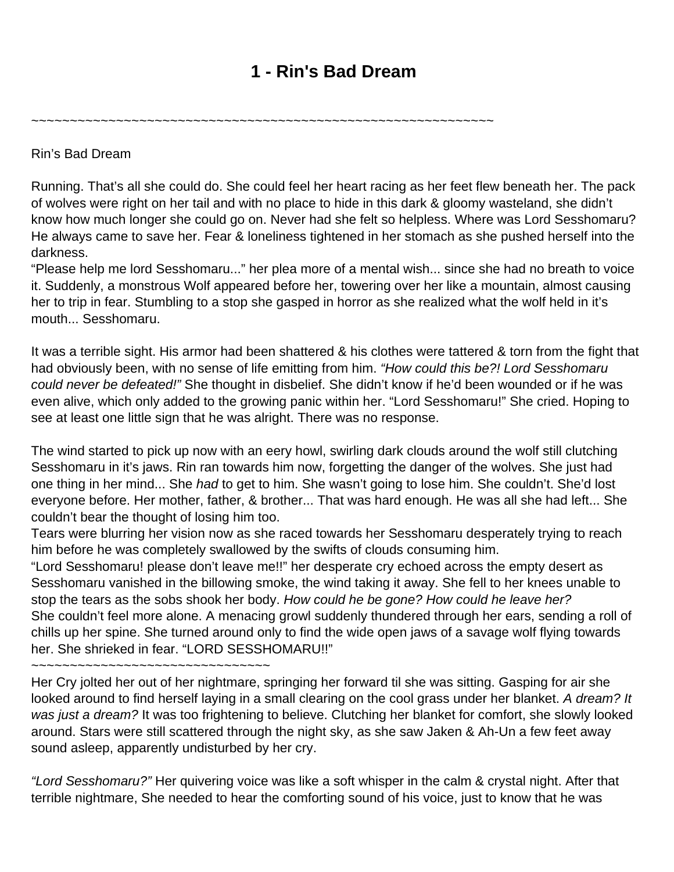## **1 - Rin's Bad Dream**

<span id="page-1-0"></span>~~~~~~~~~~~~~~~~~~~~~~~~~~~~~~~~~~~~~~~~~~~~~~~~~~~~~~~~~~~~

Rin's Bad Dream

Running. That's all she could do. She could feel her heart racing as her feet flew beneath her. The pack of wolves were right on her tail and with no place to hide in this dark & gloomy wasteland, she didn't know how much longer she could go on. Never had she felt so helpless. Where was Lord Sesshomaru? He always came to save her. Fear & loneliness tightened in her stomach as she pushed herself into the darkness.

"Please help me lord Sesshomaru..." her plea more of a mental wish... since she had no breath to voice it. Suddenly, a monstrous Wolf appeared before her, towering over her like a mountain, almost causing her to trip in fear. Stumbling to a stop she gasped in horror as she realized what the wolf held in it's mouth... Sesshomaru.

It was a terrible sight. His armor had been shattered & his clothes were tattered & torn from the fight that had obviously been, with no sense of life emitting from him. "How could this be?! Lord Sesshomaru could never be defeated!" She thought in disbelief. She didn't know if he'd been wounded or if he was even alive, which only added to the growing panic within her. "Lord Sesshomaru!" She cried. Hoping to see at least one little sign that he was alright. There was no response.

The wind started to pick up now with an eery howl, swirling dark clouds around the wolf still clutching Sesshomaru in it's jaws. Rin ran towards him now, forgetting the danger of the wolves. She just had one thing in her mind... She had to get to him. She wasn't going to lose him. She couldn't. She'd lost everyone before. Her mother, father, & brother... That was hard enough. He was all she had left... She couldn't bear the thought of losing him too.

Tears were blurring her vision now as she raced towards her Sesshomaru desperately trying to reach him before he was completely swallowed by the swifts of clouds consuming him.

"Lord Sesshomaru! please don't leave me!!" her desperate cry echoed across the empty desert as Sesshomaru vanished in the billowing smoke, the wind taking it away. She fell to her knees unable to stop the tears as the sobs shook her body. How could he be gone? How could he leave her? She couldn't feel more alone. A menacing growl suddenly thundered through her ears, sending a roll of chills up her spine. She turned around only to find the wide open jaws of a savage wolf flying towards her. She shrieked in fear. "LORD SESSHOMARU!!"

~~~~~~~~~~~~~~~~~~~~~~~~~~~~~~~~~

Her Cry jolted her out of her nightmare, springing her forward til she was sitting. Gasping for air she looked around to find herself laying in a small clearing on the cool grass under her blanket. A dream? It was just a dream? It was too frightening to believe. Clutching her blanket for comfort, she slowly looked around. Stars were still scattered through the night sky, as she saw Jaken & Ah-Un a few feet away sound asleep, apparently undisturbed by her cry.

"Lord Sesshomaru?" Her quivering voice was like a soft whisper in the calm & crystal night. After that terrible nightmare, She needed to hear the comforting sound of his voice, just to know that he was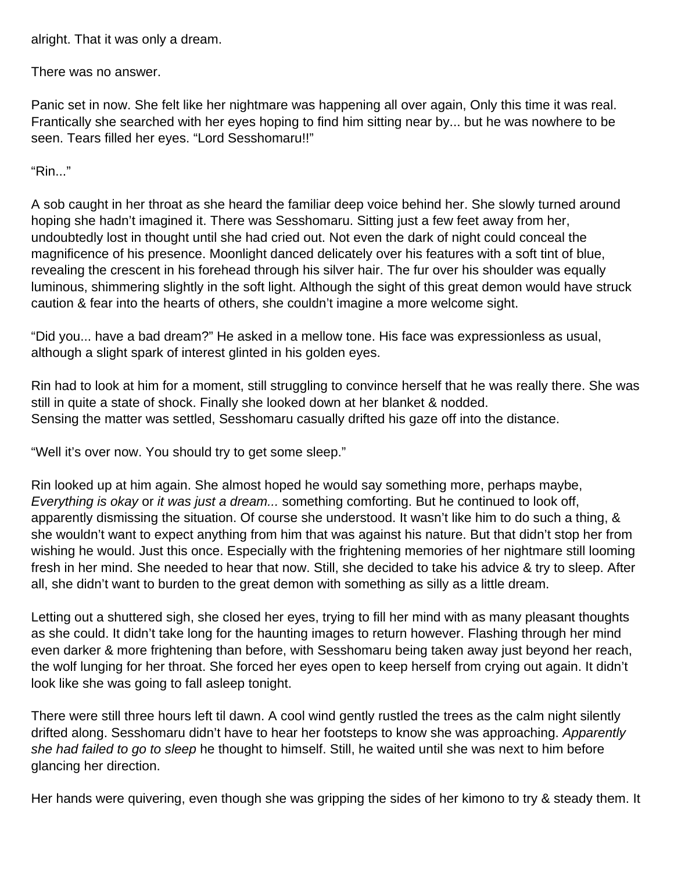alright. That it was only a dream.

There was no answer.

Panic set in now. She felt like her nightmare was happening all over again, Only this time it was real. Frantically she searched with her eyes hoping to find him sitting near by... but he was nowhere to be seen. Tears filled her eyes. "Lord Sesshomaru!!"

"Rin..."

A sob caught in her throat as she heard the familiar deep voice behind her. She slowly turned around hoping she hadn't imagined it. There was Sesshomaru. Sitting just a few feet away from her, undoubtedly lost in thought until she had cried out. Not even the dark of night could conceal the magnificence of his presence. Moonlight danced delicately over his features with a soft tint of blue, revealing the crescent in his forehead through his silver hair. The fur over his shoulder was equally luminous, shimmering slightly in the soft light. Although the sight of this great demon would have struck caution & fear into the hearts of others, she couldn't imagine a more welcome sight.

"Did you... have a bad dream?" He asked in a mellow tone. His face was expressionless as usual, although a slight spark of interest glinted in his golden eyes.

Rin had to look at him for a moment, still struggling to convince herself that he was really there. She was still in quite a state of shock. Finally she looked down at her blanket & nodded. Sensing the matter was settled, Sesshomaru casually drifted his gaze off into the distance.

"Well it's over now. You should try to get some sleep."

Rin looked up at him again. She almost hoped he would say something more, perhaps maybe, Everything is okay or it was just a dream... something comforting. But he continued to look off, apparently dismissing the situation. Of course she understood. It wasn't like him to do such a thing, & she wouldn't want to expect anything from him that was against his nature. But that didn't stop her from wishing he would. Just this once. Especially with the frightening memories of her nightmare still looming fresh in her mind. She needed to hear that now. Still, she decided to take his advice & try to sleep. After all, she didn't want to burden to the great demon with something as silly as a little dream.

Letting out a shuttered sigh, she closed her eyes, trying to fill her mind with as many pleasant thoughts as she could. It didn't take long for the haunting images to return however. Flashing through her mind even darker & more frightening than before, with Sesshomaru being taken away just beyond her reach, the wolf lunging for her throat. She forced her eyes open to keep herself from crying out again. It didn't look like she was going to fall asleep tonight.

There were still three hours left til dawn. A cool wind gently rustled the trees as the calm night silently drifted along. Sesshomaru didn't have to hear her footsteps to know she was approaching. Apparently she had failed to go to sleep he thought to himself. Still, he waited until she was next to him before glancing her direction.

Her hands were quivering, even though she was gripping the sides of her kimono to try & steady them. It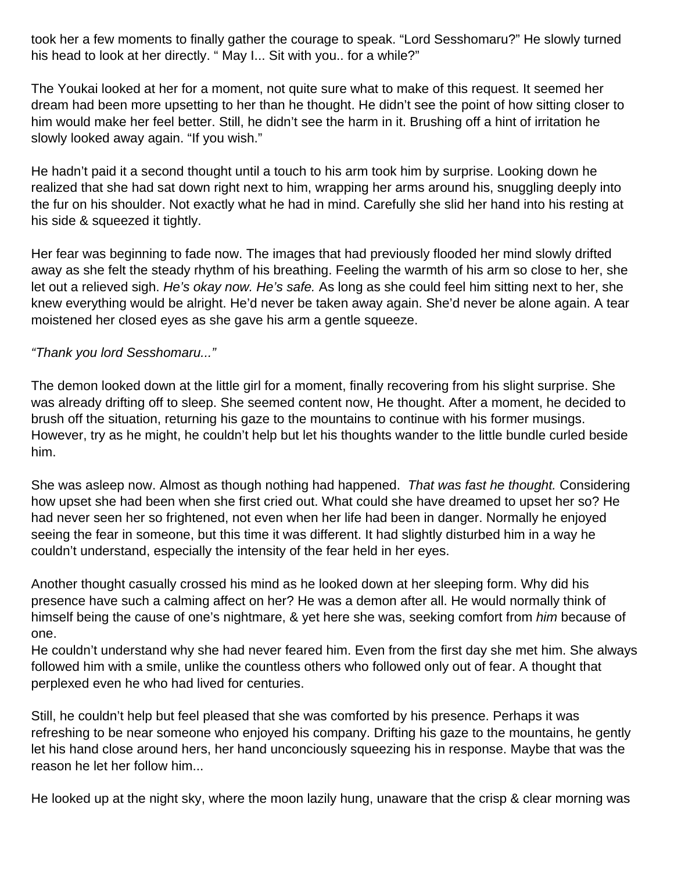took her a few moments to finally gather the courage to speak. "Lord Sesshomaru?" He slowly turned his head to look at her directly. " May I... Sit with you.. for a while?"

The Youkai looked at her for a moment, not quite sure what to make of this request. It seemed her dream had been more upsetting to her than he thought. He didn't see the point of how sitting closer to him would make her feel better. Still, he didn't see the harm in it. Brushing off a hint of irritation he slowly looked away again. "If you wish."

He hadn't paid it a second thought until a touch to his arm took him by surprise. Looking down he realized that she had sat down right next to him, wrapping her arms around his, snuggling deeply into the fur on his shoulder. Not exactly what he had in mind. Carefully she slid her hand into his resting at his side & squeezed it tightly.

Her fear was beginning to fade now. The images that had previously flooded her mind slowly drifted away as she felt the steady rhythm of his breathing. Feeling the warmth of his arm so close to her, she let out a relieved sigh. He's okay now. He's safe. As long as she could feel him sitting next to her, she knew everything would be alright. He'd never be taken away again. She'd never be alone again. A tear moistened her closed eyes as she gave his arm a gentle squeeze.

#### "Thank you lord Sesshomaru..."

The demon looked down at the little girl for a moment, finally recovering from his slight surprise. She was already drifting off to sleep. She seemed content now, He thought. After a moment, he decided to brush off the situation, returning his gaze to the mountains to continue with his former musings. However, try as he might, he couldn't help but let his thoughts wander to the little bundle curled beside him.

She was asleep now. Almost as though nothing had happened. That was fast he thought. Considering how upset she had been when she first cried out. What could she have dreamed to upset her so? He had never seen her so frightened, not even when her life had been in danger. Normally he enjoyed seeing the fear in someone, but this time it was different. It had slightly disturbed him in a way he couldn't understand, especially the intensity of the fear held in her eyes.

Another thought casually crossed his mind as he looked down at her sleeping form. Why did his presence have such a calming affect on her? He was a demon after all. He would normally think of himself being the cause of one's nightmare, & yet here she was, seeking comfort from him because of one.

He couldn't understand why she had never feared him. Even from the first day she met him. She always followed him with a smile, unlike the countless others who followed only out of fear. A thought that perplexed even he who had lived for centuries.

Still, he couldn't help but feel pleased that she was comforted by his presence. Perhaps it was refreshing to be near someone who enjoyed his company. Drifting his gaze to the mountains, he gently let his hand close around hers, her hand unconciously squeezing his in response. Maybe that was the reason he let her follow him...

He looked up at the night sky, where the moon lazily hung, unaware that the crisp & clear morning was